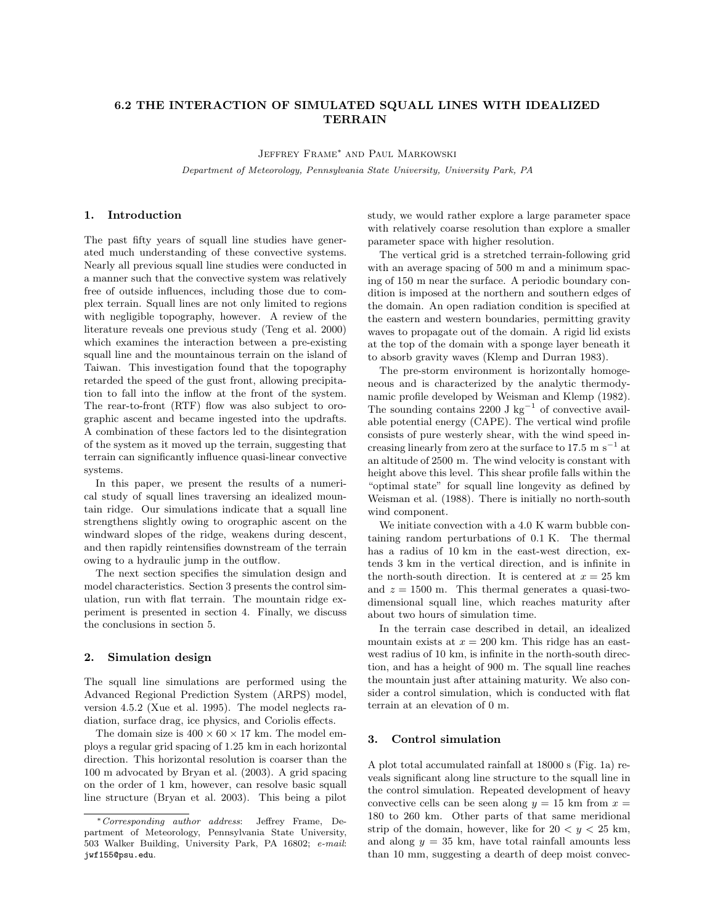# 6.2 THE INTERACTION OF SIMULATED SQUALL LINES WITH IDEALIZED TERRAIN

Jeffrey Frame<sup>∗</sup> and Paul Markowski Department of Meteorology, Pennsylvania State University, University Park, PA

### 1. Introduction

The past fifty years of squall line studies have generated much understanding of these convective systems. Nearly all previous squall line studies were conducted in a manner such that the convective system was relatively free of outside influences, including those due to complex terrain. Squall lines are not only limited to regions with negligible topography, however. A review of the literature reveals one previous study (Teng et al. 2000) which examines the interaction between a pre-existing squall line and the mountainous terrain on the island of Taiwan. This investigation found that the topography retarded the speed of the gust front, allowing precipitation to fall into the inflow at the front of the system. The rear-to-front (RTF) flow was also subject to orographic ascent and became ingested into the updrafts. A combination of these factors led to the disintegration of the system as it moved up the terrain, suggesting that terrain can significantly influence quasi-linear convective systems.

In this paper, we present the results of a numerical study of squall lines traversing an idealized mountain ridge. Our simulations indicate that a squall line strengthens slightly owing to orographic ascent on the windward slopes of the ridge, weakens during descent, and then rapidly reintensifies downstream of the terrain owing to a hydraulic jump in the outflow.

The next section specifies the simulation design and model characteristics. Section 3 presents the control simulation, run with flat terrain. The mountain ridge experiment is presented in section 4. Finally, we discuss the conclusions in section 5.

#### 2. Simulation design

The squall line simulations are performed using the Advanced Regional Prediction System (ARPS) model, version 4.5.2 (Xue et al. 1995). The model neglects radiation, surface drag, ice physics, and Coriolis effects.

The domain size is  $400 \times 60 \times 17$  km. The model employs a regular grid spacing of 1.25 km in each horizontal direction. This horizontal resolution is coarser than the 100 m advocated by Bryan et al. (2003). A grid spacing on the order of 1 km, however, can resolve basic squall line structure (Bryan et al. 2003). This being a pilot study, we would rather explore a large parameter space with relatively coarse resolution than explore a smaller parameter space with higher resolution.

The vertical grid is a stretched terrain-following grid with an average spacing of 500 m and a minimum spacing of 150 m near the surface. A periodic boundary condition is imposed at the northern and southern edges of the domain. An open radiation condition is specified at the eastern and western boundaries, permitting gravity waves to propagate out of the domain. A rigid lid exists at the top of the domain with a sponge layer beneath it to absorb gravity waves (Klemp and Durran 1983).

The pre-storm environment is horizontally homogeneous and is characterized by the analytic thermodynamic profile developed by Weisman and Klemp (1982). The sounding contains 2200 J kg<sup>-1</sup> of convective available potential energy (CAPE). The vertical wind profile consists of pure westerly shear, with the wind speed increasing linearly from zero at the surface to  $17.5 \text{ m s}^{-1}$  at an altitude of 2500 m. The wind velocity is constant with height above this level. This shear profile falls within the "optimal state" for squall line longevity as defined by Weisman et al. (1988). There is initially no north-south wind component.

We initiate convection with a 4.0 K warm bubble containing random perturbations of 0.1 K. The thermal has a radius of 10 km in the east-west direction, extends 3 km in the vertical direction, and is infinite in the north-south direction. It is centered at  $x = 25$  km and  $z = 1500$  m. This thermal generates a quasi-twodimensional squall line, which reaches maturity after about two hours of simulation time.

In the terrain case described in detail, an idealized mountain exists at  $x = 200$  km. This ridge has an eastwest radius of 10 km, is infinite in the north-south direction, and has a height of 900 m. The squall line reaches the mountain just after attaining maturity. We also consider a control simulation, which is conducted with flat terrain at an elevation of 0 m.

## 3. Control simulation

A plot total accumulated rainfall at 18000 s (Fig. 1a) reveals significant along line structure to the squall line in the control simulation. Repeated development of heavy convective cells can be seen along  $y = 15$  km from  $x =$ 180 to 260 km. Other parts of that same meridional strip of the domain, however, like for  $20 < y < 25$  km, and along  $y = 35$  km, have total rainfall amounts less than 10 mm, suggesting a dearth of deep moist convec-

<sup>∗</sup>Corresponding author address: Jeffrey Frame, Department of Meteorology, Pennsylvania State University, 503 Walker Building, University Park, PA 16802; e-mail: jwf155@psu.edu.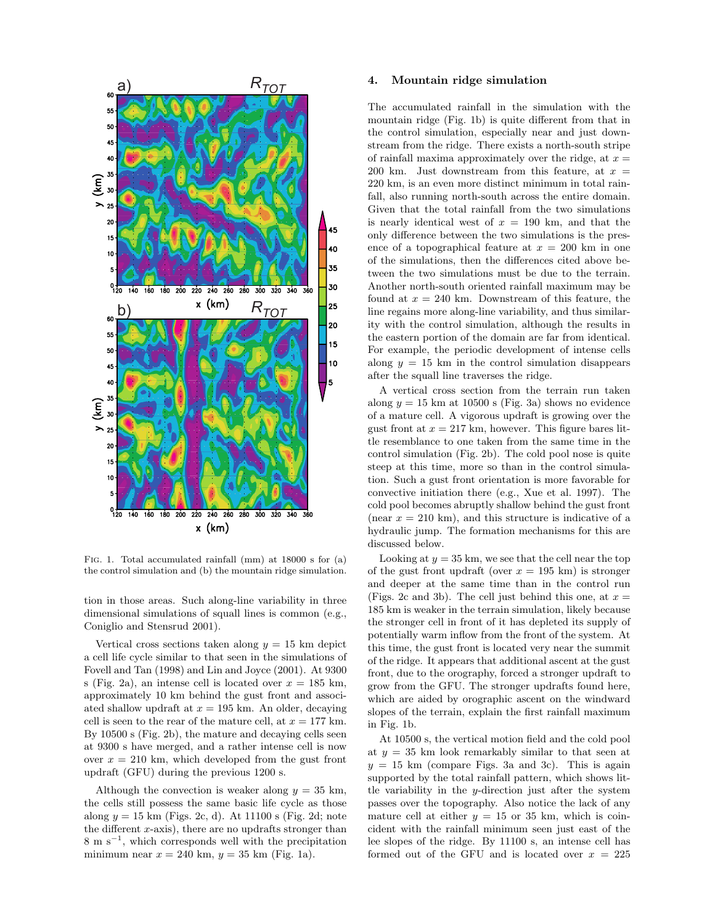

Fig. 1. Total accumulated rainfall (mm) at 18000 s for (a) the control simulation and (b) the mountain ridge simulation.

tion in those areas. Such along-line variability in three dimensional simulations of squall lines is common (e.g., Coniglio and Stensrud 2001).

Vertical cross sections taken along  $y = 15$  km depict a cell life cycle similar to that seen in the simulations of Fovell and Tan (1998) and Lin and Joyce (2001). At 9300 s (Fig. 2a), an intense cell is located over  $x = 185$  km, approximately 10 km behind the gust front and associated shallow updraft at  $x = 195$  km. An older, decaying cell is seen to the rear of the mature cell, at  $x = 177$  km. By 10500 s (Fig. 2b), the mature and decaying cells seen at 9300 s have merged, and a rather intense cell is now over  $x = 210$  km, which developed from the gust front updraft (GFU) during the previous 1200 s.

Although the convection is weaker along  $y = 35$  km, the cells still possess the same basic life cycle as those along  $y = 15$  km (Figs. 2c, d). At 11100 s (Fig. 2d; note the different  $x$ -axis), there are no updrafts stronger than 8 m s<sup>−</sup><sup>1</sup> , which corresponds well with the precipitation minimum near  $x = 240$  km,  $y = 35$  km (Fig. 1a).

## 4. Mountain ridge simulation

The accumulated rainfall in the simulation with the mountain ridge (Fig. 1b) is quite different from that in the control simulation, especially near and just downstream from the ridge. There exists a north-south stripe of rainfall maxima approximately over the ridge, at  $x =$ 200 km. Just downstream from this feature, at  $x =$ 220 km, is an even more distinct minimum in total rainfall, also running north-south across the entire domain. Given that the total rainfall from the two simulations is nearly identical west of  $x = 190$  km, and that the only difference between the two simulations is the presence of a topographical feature at  $x = 200$  km in one of the simulations, then the differences cited above between the two simulations must be due to the terrain. Another north-south oriented rainfall maximum may be found at  $x = 240$  km. Downstream of this feature, the line regains more along-line variability, and thus similarity with the control simulation, although the results in the eastern portion of the domain are far from identical. For example, the periodic development of intense cells along  $y = 15$  km in the control simulation disappears after the squall line traverses the ridge.

A vertical cross section from the terrain run taken along  $y = 15$  km at 10500 s (Fig. 3a) shows no evidence of a mature cell. A vigorous updraft is growing over the gust front at  $x = 217$  km, however. This figure bares little resemblance to one taken from the same time in the control simulation (Fig. 2b). The cold pool nose is quite steep at this time, more so than in the control simulation. Such a gust front orientation is more favorable for convective initiation there (e.g., Xue et al. 1997). The cold pool becomes abruptly shallow behind the gust front (near  $x = 210 \text{ km}$ ), and this structure is indicative of a hydraulic jump. The formation mechanisms for this are discussed below.

Looking at  $y = 35$  km, we see that the cell near the top of the gust front updraft (over  $x = 195$  km) is stronger and deeper at the same time than in the control run (Figs. 2c and 3b). The cell just behind this one, at  $x =$ 185 km is weaker in the terrain simulation, likely because the stronger cell in front of it has depleted its supply of potentially warm inflow from the front of the system. At this time, the gust front is located very near the summit of the ridge. It appears that additional ascent at the gust front, due to the orography, forced a stronger updraft to grow from the GFU. The stronger updrafts found here, which are aided by orographic ascent on the windward slopes of the terrain, explain the first rainfall maximum in Fig. 1b.

At 10500 s, the vertical motion field and the cold pool at  $y = 35$  km look remarkably similar to that seen at  $y = 15$  km (compare Figs. 3a and 3c). This is again supported by the total rainfall pattern, which shows little variability in the y-direction just after the system passes over the topography. Also notice the lack of any mature cell at either  $y = 15$  or 35 km, which is coincident with the rainfall minimum seen just east of the lee slopes of the ridge. By 11100 s, an intense cell has formed out of the GFU and is located over  $x = 225$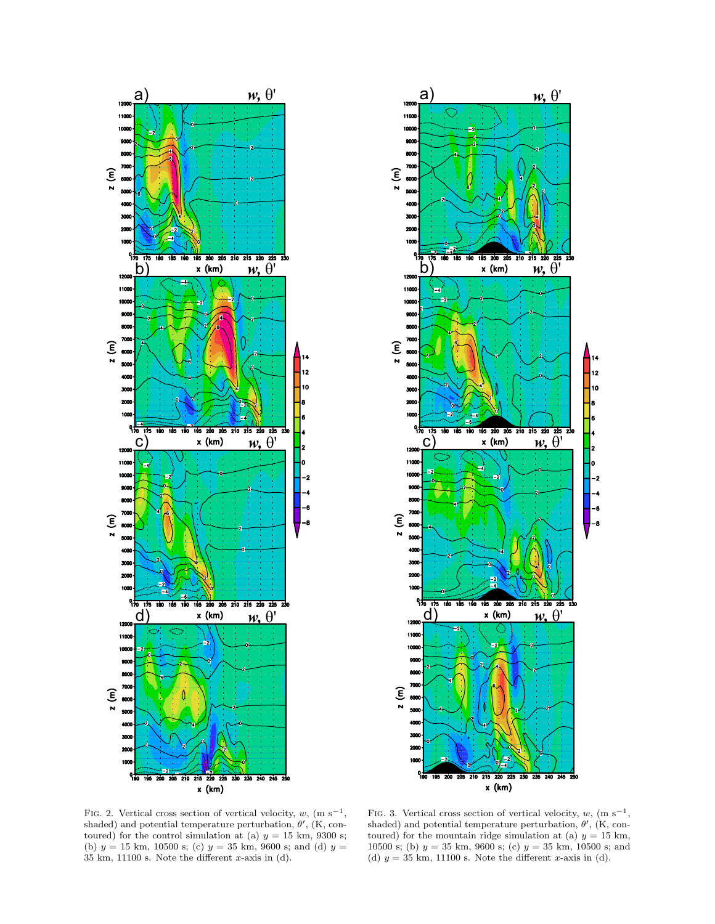



FIG. 2. Vertical cross section of vertical velocity,  $w$ , (m s<sup>-1</sup>, shaded) and potential temperature perturbation,  $\theta'$ , (K, contoured) for the control simulation at (a)  $y = 15$  km, 9300 s; (b)  $y = 15$  km, 10500 s; (c)  $y = 35$  km, 9600 s; and (d)  $y =$  $35 \text{ km}$ ,  $11100 \text{ s}$ . Note the different x-axis in (d).

FIG. 3. Vertical cross section of vertical velocity,  $w$ , (m s<sup>-1</sup>, shaded) and potential temperature perturbation,  $\theta'$ , (K, contoured) for the mountain ridge simulation at (a)  $y = 15$  km, 10500 s; (b)  $y = 35$  km, 9600 s; (c)  $y = 35$  km, 10500 s; and (d)  $y = 35$  km, 11100 s. Note the different x-axis in (d).